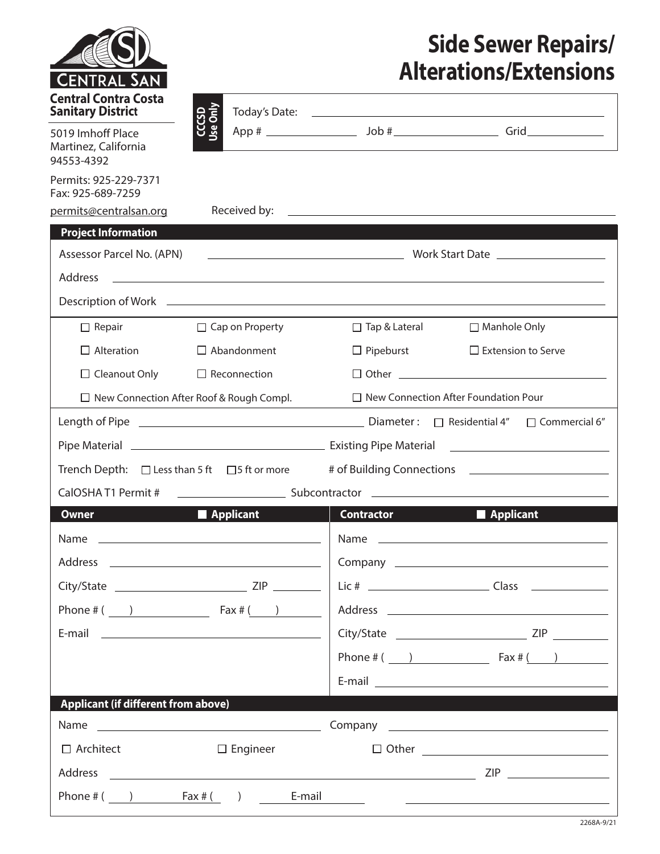| ENTRAL SAN                                                                                                                                                                                                                                                                                                                               |                            |                                                            | <b>Side Sewer Repairs/</b><br><b>Alterations/Extensions</b> |
|------------------------------------------------------------------------------------------------------------------------------------------------------------------------------------------------------------------------------------------------------------------------------------------------------------------------------------------|----------------------------|------------------------------------------------------------|-------------------------------------------------------------|
| <b>Central Contra Costa</b><br><b>Sanitary District</b>                                                                                                                                                                                                                                                                                  |                            |                                                            |                                                             |
| 5019 Imhoff Place<br>Martinez, California<br>94553-4392                                                                                                                                                                                                                                                                                  | CCCSD<br>Use Only          |                                                            |                                                             |
| Permits: 925-229-7371<br>Fax: 925-689-7259                                                                                                                                                                                                                                                                                               |                            |                                                            |                                                             |
| permits@centralsan.org                                                                                                                                                                                                                                                                                                                   |                            |                                                            |                                                             |
| <b>Project Information</b>                                                                                                                                                                                                                                                                                                               |                            |                                                            |                                                             |
| Assessor Parcel No. (APN)                                                                                                                                                                                                                                                                                                                |                            |                                                            |                                                             |
| Address                                                                                                                                                                                                                                                                                                                                  |                            | <u> 1989 - Johann Stoff, amerikansk politiker (* 1908)</u> |                                                             |
| $\Box$ Repair                                                                                                                                                                                                                                                                                                                            | $\Box$ Cap on Property     | $\Box$ Tap & Lateral                                       | □ Manhole Only                                              |
| $\Box$ Alteration                                                                                                                                                                                                                                                                                                                        | $\Box$ Abandonment         | $\Box$ Pipeburst                                           | $\Box$ Extension to Serve                                   |
| $\Box$ Cleanout Only                                                                                                                                                                                                                                                                                                                     | $\Box$ Reconnection        |                                                            | $\Box$ Other $\Box$                                         |
| $\Box$ New Connection After Roof & Rough Compl.                                                                                                                                                                                                                                                                                          |                            | $\Box$ New Connection After Foundation Pour                |                                                             |
|                                                                                                                                                                                                                                                                                                                                          |                            |                                                            |                                                             |
|                                                                                                                                                                                                                                                                                                                                          |                            |                                                            |                                                             |
|                                                                                                                                                                                                                                                                                                                                          |                            |                                                            |                                                             |
| Trench Depth: □ Less than 5 ft □ 5 ft or more # of Building Connections ___________________________<br>CalOSHAT1 Permit #                                                                                                                                                                                                                |                            |                                                            |                                                             |
| <b>Owner</b>                                                                                                                                                                                                                                                                                                                             | <b>Example 1</b> Applicant | <b>Contractor</b>                                          | Applicant                                                   |
|                                                                                                                                                                                                                                                                                                                                          |                            |                                                            |                                                             |
|                                                                                                                                                                                                                                                                                                                                          |                            |                                                            |                                                             |
|                                                                                                                                                                                                                                                                                                                                          |                            |                                                            |                                                             |
| Phone # $($ $)$ $\qquad \qquad$ $\qquad$ $\qquad$ $\qquad$ $\qquad$ $\qquad$ $\qquad$ $\qquad$ $\qquad$ $\qquad$ $\qquad$ $\qquad$ $\qquad$ $\qquad$ $\qquad$ $\qquad$ $\qquad$ $\qquad$ $\qquad$ $\qquad$ $\qquad$ $\qquad$ $\qquad$ $\qquad$ $\qquad$ $\qquad$ $\qquad$ $\qquad$ $\qquad$ $\qquad$ $\qquad$ $\qquad$ $\qquad$ $\qquad$ |                            |                                                            |                                                             |
| E-mail 2008 2009 2010 2021 2022 2023 2024 2022 2022 2023 2024 2022 2023 2024 2022 2023 2024 2022 2023 2024 20                                                                                                                                                                                                                            |                            |                                                            |                                                             |
|                                                                                                                                                                                                                                                                                                                                          |                            |                                                            |                                                             |
|                                                                                                                                                                                                                                                                                                                                          |                            |                                                            |                                                             |
| <b>Applicant (if different from above)</b>                                                                                                                                                                                                                                                                                               |                            |                                                            |                                                             |
|                                                                                                                                                                                                                                                                                                                                          |                            |                                                            |                                                             |
| $\Box$ Architect                                                                                                                                                                                                                                                                                                                         | $\Box$ Engineer            |                                                            | $\Box$ Other                                                |
|                                                                                                                                                                                                                                                                                                                                          |                            |                                                            |                                                             |
| Phone # $($ $)$ $\qquad$ $\qquad$ $\qquad$ $\qquad$ $\qquad$ $\qquad$ $\qquad$ $\qquad$ $\qquad$ $\qquad$ $\qquad$ $\qquad$ $\qquad$ $\qquad$ $\qquad$ $\qquad$ $\qquad$ $\qquad$ $\qquad$ $\qquad$ $\qquad$ $\qquad$ $\qquad$ $\qquad$ $\qquad$ $\qquad$ $\qquad$ $\qquad$ $\qquad$ $\qquad$ $\qquad$ $\qquad$ $\qquad$ $\qquad$        | E-mail                     |                                                            | <u> 1980 - Andrea Stadt Britain, amerikansk politik (</u>   |